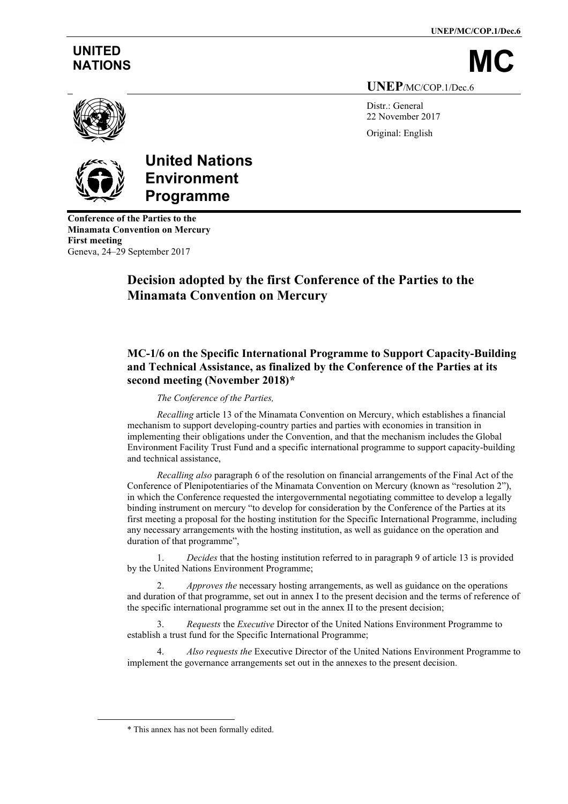**UNEP/MC/COP.1/Dec.6**

# **UNITED**

NATIONS **UNEP**/MC/COP.1/Dec.6

> Distr · General 22 November 2017 Original: English





# **United Nations Environment Programme**

**Conference of the Parties to the Minamata Convention on Mercury First meeting** Geneva, 24–29 September 2017

# **Decision adopted by the first Conference of the Parties to the Minamata Convention on Mercury**

# **MC-1/6 on the Specific International Programme to Support Capacity-Building and Technical Assistance, as finalized by the Conference of the Parties at its second meeting (November 2018)[\\*](#page-0-0)**

## *The Conference of the Parties,*

*Recalling* article 13 of the Minamata Convention on Mercury, which establishes a financial mechanism to support developing-country parties and parties with economies in transition in implementing their obligations under the Convention, and that the mechanism includes the Global Environment Facility Trust Fund and a specific international programme to support capacity-building and technical assistance,

*Recalling also* paragraph 6 of the resolution on financial arrangements of the Final Act of the Conference of Plenipotentiaries of the Minamata Convention on Mercury (known as "resolution 2"), in which the Conference requested the intergovernmental negotiating committee to develop a legally binding instrument on mercury "to develop for consideration by the Conference of the Parties at its first meeting a proposal for the hosting institution for the Specific International Programme, including any necessary arrangements with the hosting institution, as well as guidance on the operation and duration of that programme",

1. *Decides* that the hosting institution referred to in paragraph 9 of article 13 is provided by the United Nations Environment Programme;

2. *Approves the* necessary hosting arrangements, as well as guidance on the operations and duration of that programme, set out in annex I to the present decision and the terms of reference of the specific international programme set out in the annex II to the present decision;

3. *Requests* the *Executive* Director of the United Nations Environment Programme to establish a trust fund for the Specific International Programme;

4. *Also requests the* Executive Director of the United Nations Environment Programme to implement the governance arrangements set out in the annexes to the present decision.

<span id="page-0-0"></span><sup>\*</sup> This annex has not been formally edited.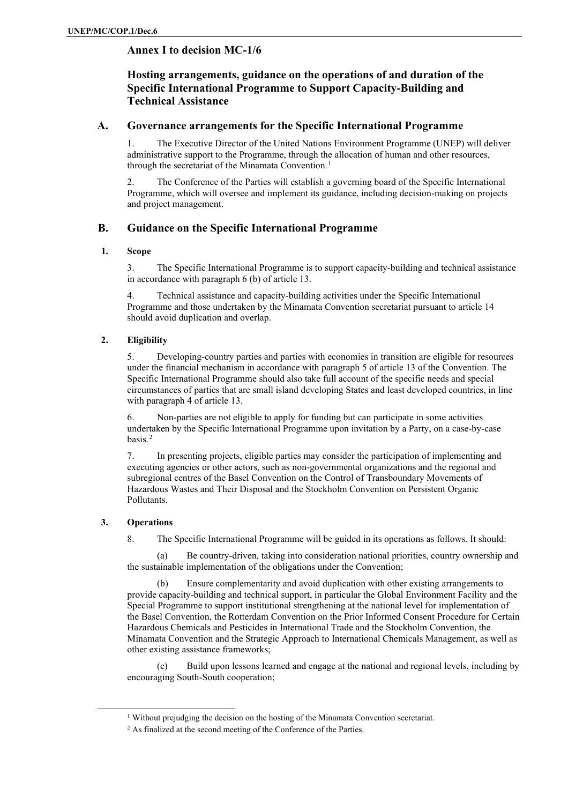# **Annex I to decision MC-1/6**

# **Hosting arrangements, guidance on the operations of and duration of the Specific International Programme to Support Capacity-Building and Technical Assistance**

# **A. Governance arrangements for the Specific International Programme**

1. The Executive Director of the United Nations Environment Programme (UNEP) will deliver administrative support to the Programme, through the allocation of human and other resources, through the secretariat of the Minamata Convention.<sup>[1](#page-1-0)</sup>

2. The Conference of the Parties will establish a governing board of the Specific International Programme, which will oversee and implement its guidance, including decision-making on projects and project management.

# **B. Guidance on the Specific International Programme**

#### **1. Scope**

3. The Specific International Programme is to support capacity-building and technical assistance in accordance with paragraph 6 (b) of article 13.

4. Technical assistance and capacity-building activities under the Specific International Programme and those undertaken by the Minamata Convention secretariat pursuant to article 14 should avoid duplication and overlap.

#### **2. Eligibility**

5. Developing-country parties and parties with economies in transition are eligible for resources under the financial mechanism in accordance with paragraph 5 of article 13 of the Convention. The Specific International Programme should also take full account of the specific needs and special circumstances of parties that are small island developing States and least developed countries, in line with paragraph 4 of article 13.

6. Non-parties are not eligible to apply for funding but can participate in some activities undertaken by the Specific International Programme upon invitation by a Party, on a case-by-case basis.[2](#page-1-1)

7. In presenting projects, eligible parties may consider the participation of implementing and executing agencies or other actors, such as non-governmental organizations and the regional and subregional centres of the Basel Convention on the Control of Transboundary Movements of Hazardous Wastes and Their Disposal and the Stockholm Convention on Persistent Organic Pollutants.

#### **3. Operations**

8. The Specific International Programme will be guided in its operations as follows. It should:

(a) Be country-driven, taking into consideration national priorities, country ownership and the sustainable implementation of the obligations under the Convention;

(b) Ensure complementarity and avoid duplication with other existing arrangements to provide capacity-building and technical support, in particular the Global Environment Facility and the Special Programme to support institutional strengthening at the national level for implementation of the Basel Convention, the Rotterdam Convention on the Prior Informed Consent Procedure for Certain Hazardous Chemicals and Pesticides in International Trade and the Stockholm Convention, the Minamata Convention and the Strategic Approach to International Chemicals Management, as well as other existing assistance frameworks;

(c) Build upon lessons learned and engage at the national and regional levels, including by encouraging South-South cooperation;

<span id="page-1-1"></span><span id="page-1-0"></span><sup>1</sup> Without prejudging the decision on the hosting of the Minamata Convention secretariat.

<sup>2</sup> As finalized at the second meeting of the Conference of the Parties.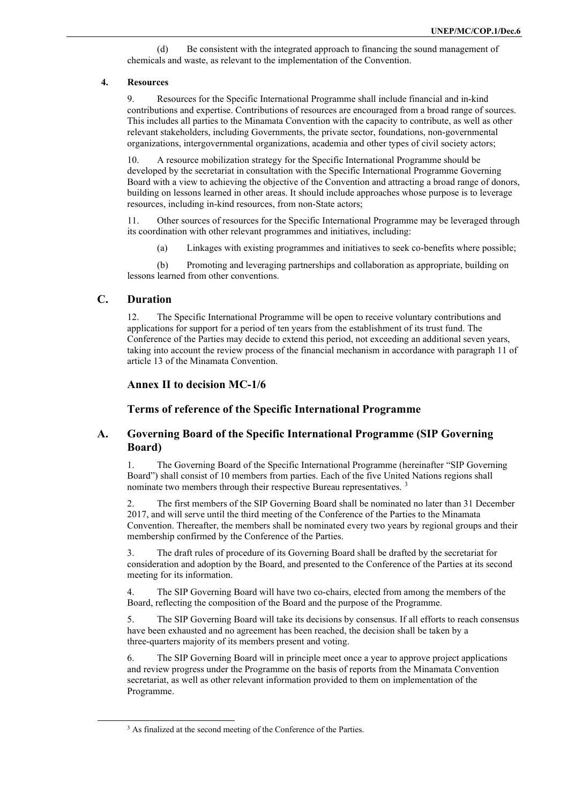(d) Be consistent with the integrated approach to financing the sound management of chemicals and waste, as relevant to the implementation of the Convention.

#### **4. Resources**

9. Resources for the Specific International Programme shall include financial and in-kind contributions and expertise. Contributions of resources are encouraged from a broad range of sources. This includes all parties to the Minamata Convention with the capacity to contribute, as well as other relevant stakeholders, including Governments, the private sector, foundations, non-governmental organizations, intergovernmental organizations, academia and other types of civil society actors;

10. A resource mobilization strategy for the Specific International Programme should be developed by the secretariat in consultation with the Specific International Programme Governing Board with a view to achieving the objective of the Convention and attracting a broad range of donors, building on lessons learned in other areas. It should include approaches whose purpose is to leverage resources, including in-kind resources, from non-State actors;

11. Other sources of resources for the Specific International Programme may be leveraged through its coordination with other relevant programmes and initiatives, including:

(a) Linkages with existing programmes and initiatives to seek co-benefits where possible;

(b) Promoting and leveraging partnerships and collaboration as appropriate, building on lessons learned from other conventions.

# **C. Duration**

12. The Specific International Programme will be open to receive voluntary contributions and applications for support for a period of ten years from the establishment of its trust fund. The Conference of the Parties may decide to extend this period, not exceeding an additional seven years, taking into account the review process of the financial mechanism in accordance with paragraph 11 of article 13 of the Minamata Convention.

#### **Annex II to decision MC-1/6**

**Terms of reference of the Specific International Programme**

## **A. Governing Board of the Specific International Programme (SIP Governing Board)**

1. The Governing Board of the Specific International Programme (hereinafter "SIP Governing Board") shall consist of 10 members from parties. Each of the five United Nations regions shall nominate two members through their respective Bureau representatives. [3](#page-2-0)

2. The first members of the SIP Governing Board shall be nominated no later than 31 December 2017, and will serve until the third meeting of the Conference of the Parties to the Minamata Convention. Thereafter, the members shall be nominated every two years by regional groups and their membership confirmed by the Conference of the Parties.

3. The draft rules of procedure of its Governing Board shall be drafted by the secretariat for consideration and adoption by the Board, and presented to the Conference of the Parties at its second meeting for its information.

4. The SIP Governing Board will have two co-chairs, elected from among the members of the Board, reflecting the composition of the Board and the purpose of the Programme.

5. The SIP Governing Board will take its decisions by consensus. If all efforts to reach consensus have been exhausted and no agreement has been reached, the decision shall be taken by a three-quarters majority of its members present and voting.

6. The SIP Governing Board will in principle meet once a year to approve project applications and review progress under the Programme on the basis of reports from the Minamata Convention secretariat, as well as other relevant information provided to them on implementation of the Programme.

<span id="page-2-0"></span><sup>&</sup>lt;sup>3</sup> As finalized at the second meeting of the Conference of the Parties.